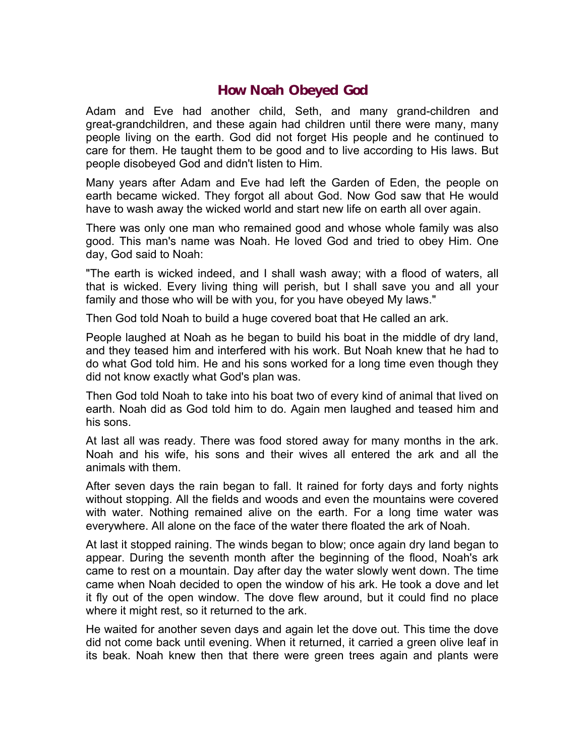## **How Noah Obeyed God**

Adam and Eve had another child, Seth, and many grand-children and great-grandchildren, and these again had children until there were many, many people living on the earth. God did not forget His people and he continued to care for them. He taught them to be good and to live according to His laws. But people disobeyed God and didn't listen to Him.

Many years after Adam and Eve had left the Garden of Eden, the people on earth became wicked. They forgot all about God. Now God saw that He would have to wash away the wicked world and start new life on earth all over again.

There was only one man who remained good and whose whole family was also good. This man's name was Noah. He loved God and tried to obey Him. One day, God said to Noah:

"The earth is wicked indeed, and I shall wash away; with a flood of waters, all that is wicked. Every living thing will perish, but I shall save you and all your family and those who will be with you, for you have obeyed My laws."

Then God told Noah to build a huge covered boat that He called an ark.

People laughed at Noah as he began to build his boat in the middle of dry land, and they teased him and interfered with his work. But Noah knew that he had to do what God told him. He and his sons worked for a long time even though they did not know exactly what God's plan was.

Then God told Noah to take into his boat two of every kind of animal that lived on earth. Noah did as God told him to do. Again men laughed and teased him and his sons.

At last all was ready. There was food stored away for many months in the ark. Noah and his wife, his sons and their wives all entered the ark and all the animals with them.

After seven days the rain began to fall. It rained for forty days and forty nights without stopping. All the fields and woods and even the mountains were covered with water. Nothing remained alive on the earth. For a long time water was everywhere. All alone on the face of the water there floated the ark of Noah.

At last it stopped raining. The winds began to blow; once again dry land began to appear. During the seventh month after the beginning of the flood, Noah's ark came to rest on a mountain. Day after day the water slowly went down. The time came when Noah decided to open the window of his ark. He took a dove and let it fly out of the open window. The dove flew around, but it could find no place where it might rest, so it returned to the ark.

He waited for another seven days and again let the dove out. This time the dove did not come back until evening. When it returned, it carried a green olive leaf in its beak. Noah knew then that there were green trees again and plants were